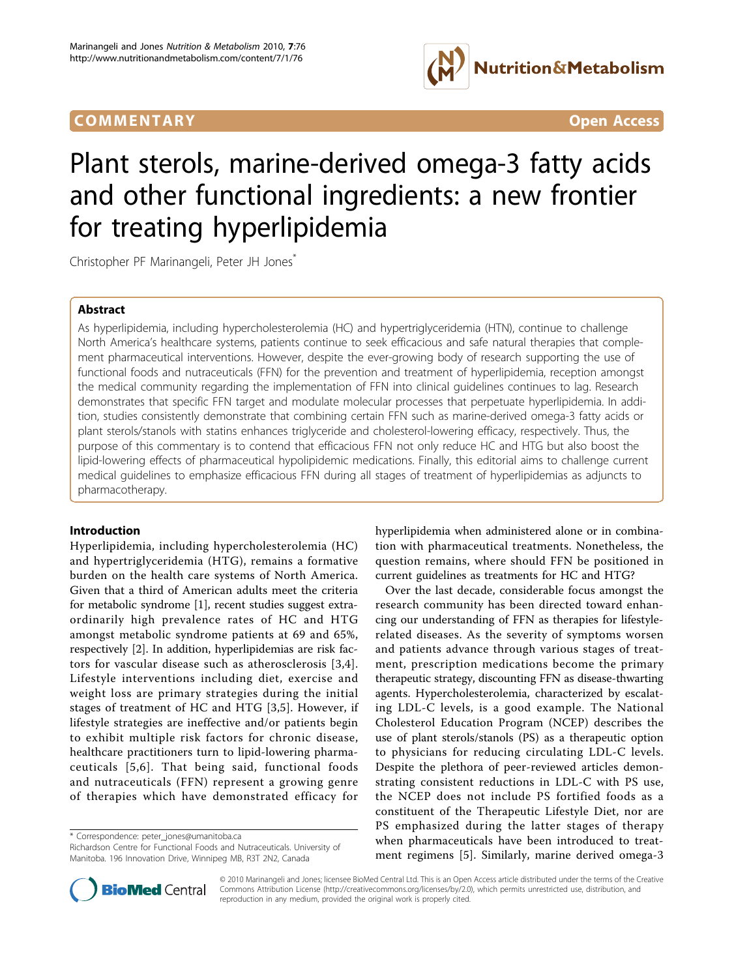## **COMMENTARY** COMMENTARY **COMMENTARY**



# Plant sterols, marine-derived omega-3 fatty acids and other functional ingredients: a new frontier for treating hyperlipidemia

Christopher PF Marinangeli, Peter JH Jones\*

## Abstract

As hyperlipidemia, including hypercholesterolemia (HC) and hypertriglyceridemia (HTN), continue to challenge North America's healthcare systems, patients continue to seek efficacious and safe natural therapies that complement pharmaceutical interventions. However, despite the ever-growing body of research supporting the use of functional foods and nutraceuticals (FFN) for the prevention and treatment of hyperlipidemia, reception amongst the medical community regarding the implementation of FFN into clinical guidelines continues to lag. Research demonstrates that specific FFN target and modulate molecular processes that perpetuate hyperlipidemia. In addition, studies consistently demonstrate that combining certain FFN such as marine-derived omega-3 fatty acids or plant sterols/stanols with statins enhances triglyceride and cholesterol-lowering efficacy, respectively. Thus, the purpose of this commentary is to contend that efficacious FFN not only reduce HC and HTG but also boost the lipid-lowering effects of pharmaceutical hypolipidemic medications. Finally, this editorial aims to challenge current medical guidelines to emphasize efficacious FFN during all stages of treatment of hyperlipidemias as adjuncts to pharmacotherapy.

## Introduction

Hyperlipidemia, including hypercholesterolemia (HC) and hypertriglyceridemia (HTG), remains a formative burden on the health care systems of North America. Given that a third of American adults meet the criteria for metabolic syndrome [[1\]](#page-4-0), recent studies suggest extraordinarily high prevalence rates of HC and HTG amongst metabolic syndrome patients at 69 and 65%, respectively [\[2](#page-4-0)]. In addition, hyperlipidemias are risk factors for vascular disease such as atherosclerosis [[3](#page-5-0),[4\]](#page-5-0). Lifestyle interventions including diet, exercise and weight loss are primary strategies during the initial stages of treatment of HC and HTG [[3,5](#page-5-0)]. However, if lifestyle strategies are ineffective and/or patients begin to exhibit multiple risk factors for chronic disease, healthcare practitioners turn to lipid-lowering pharmaceuticals [[5,6\]](#page-5-0). That being said, functional foods and nutraceuticals (FFN) represent a growing genre of therapies which have demonstrated efficacy for

\* Correspondence: [peter\\_jones@umanitoba.ca](mailto:peter_jones@umanitoba.ca)

Richardson Centre for Functional Foods and Nutraceuticals. University of Manitoba. 196 Innovation Drive, Winnipeg MB, R3T 2N2, Canada

hyperlipidemia when administered alone or in combination with pharmaceutical treatments. Nonetheless, the question remains, where should FFN be positioned in current guidelines as treatments for HC and HTG?

Over the last decade, considerable focus amongst the research community has been directed toward enhancing our understanding of FFN as therapies for lifestylerelated diseases. As the severity of symptoms worsen and patients advance through various stages of treatment, prescription medications become the primary therapeutic strategy, discounting FFN as disease-thwarting agents. Hypercholesterolemia, characterized by escalating LDL-C levels, is a good example. The National Cholesterol Education Program (NCEP) describes the use of plant sterols/stanols (PS) as a therapeutic option to physicians for reducing circulating LDL-C levels. Despite the plethora of peer-reviewed articles demonstrating consistent reductions in LDL-C with PS use, the NCEP does not include PS fortified foods as a constituent of the Therapeutic Lifestyle Diet, nor are PS emphasized during the latter stages of therapy when pharmaceuticals have been introduced to treatment regimens [[5](#page-5-0)]. Similarly, marine derived omega-3



© 2010 Marinangeli and Jones; licensee BioMed Central Ltd. This is an Open Access article distributed under the terms of the Creative Commons Attribution License [\(http://creativecommons.org/licenses/by/2.0](http://creativecommons.org/licenses/by/2.0)), which permits unrestricted use, distribution, and reproduction in any medium, provided the original work is properly cited.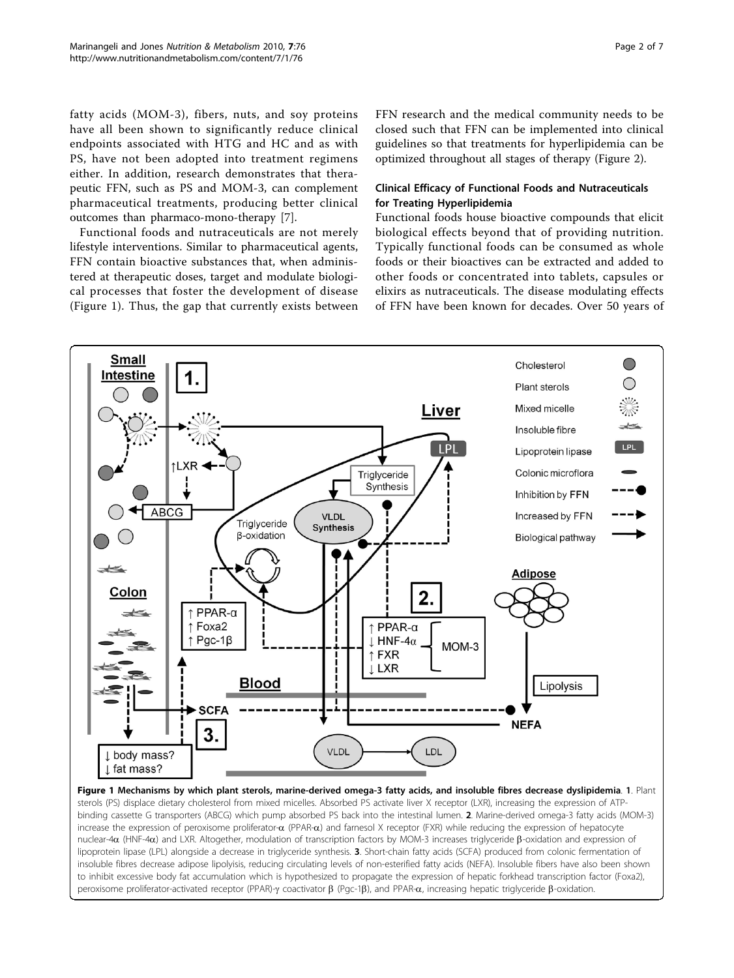<span id="page-1-0"></span>fatty acids (MOM-3), fibers, nuts, and soy proteins have all been shown to significantly reduce clinical endpoints associated with HTG and HC and as with PS, have not been adopted into treatment regimens either. In addition, research demonstrates that therapeutic FFN, such as PS and MOM-3, can complement pharmaceutical treatments, producing better clinical outcomes than pharmaco-mono-therapy [[7\]](#page-5-0).

Functional foods and nutraceuticals are not merely lifestyle interventions. Similar to pharmaceutical agents, FFN contain bioactive substances that, when administered at therapeutic doses, target and modulate biological processes that foster the development of disease (Figure 1). Thus, the gap that currently exists between FFN research and the medical community needs to be closed such that FFN can be implemented into clinical guidelines so that treatments for hyperlipidemia can be optimized throughout all stages of therapy (Figure [2](#page-2-0)).

## Clinical Efficacy of Functional Foods and Nutraceuticals for Treating Hyperlipidemia

Functional foods house bioactive compounds that elicit biological effects beyond that of providing nutrition. Typically functional foods can be consumed as whole foods or their bioactives can be extracted and added to other foods or concentrated into tablets, capsules or elixirs as nutraceuticals. The disease modulating effects of FFN have been known for decades. Over 50 years of



sterols (PS) displace dietary cholesterol from mixed micelles. Absorbed PS activate liver X receptor (LXR), increasing the expression of ATPbinding cassette G transporters (ABCG) which pump absorbed PS back into the intestinal lumen. 2. Marine-derived omega-3 fatty acids (MOM-3) increase the expression of peroxisome proliferator- $\alpha$  (PPAR- $\alpha$ ) and farnesol X receptor (FXR) while reducing the expression of hepatocyte nuclear-4 $\alpha$  (HNF-4 $\alpha$ ) and LXR. Altogether, modulation of transcription factors by MOM-3 increases triglyceride  $\beta$ -oxidation and expression of lipoprotein lipase (LPL) alongside a decrease in triglyceride synthesis. 3. Short-chain fatty acids (SCFA) produced from colonic fermentation of insoluble fibres decrease adipose lipolyisis, reducing circulating levels of non-esterified fatty acids (NEFA). Insoluble fibers have also been shown to inhibit excessive body fat accumulation which is hypothesized to propagate the expression of hepatic forkhead transcription factor (Foxa2), peroxisome proliferator-activated receptor (PPAR)- $\gamma$  coactivator  $\beta$  (Pgc-1 $\beta$ ), and PPAR- $\alpha$ , increasing hepatic triglyceride  $\beta$ -oxidation.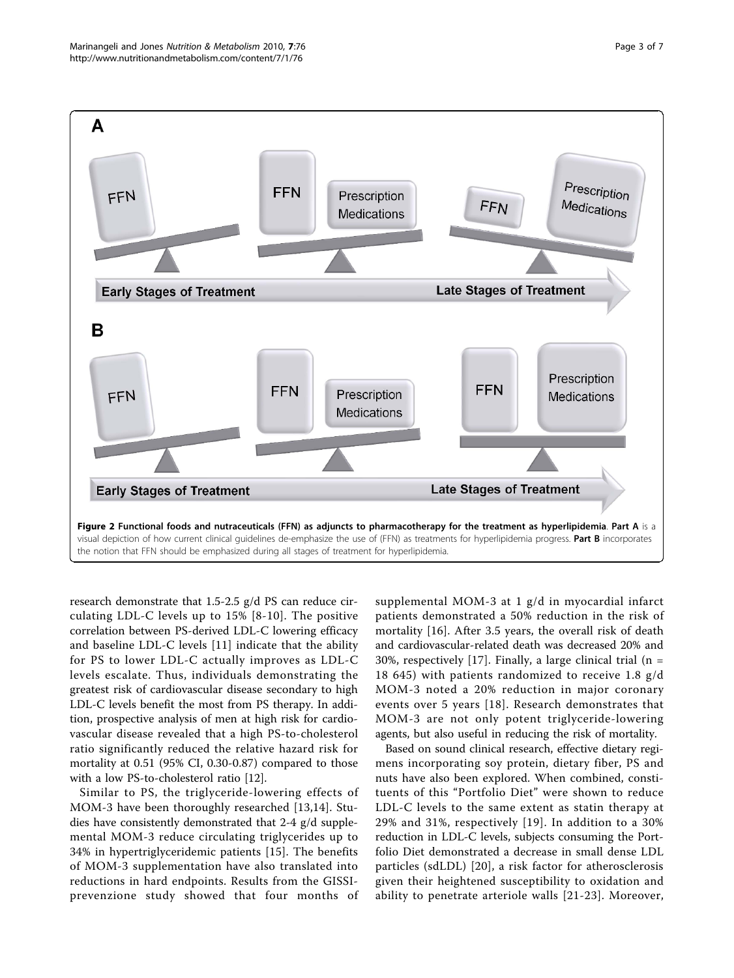<span id="page-2-0"></span>

research demonstrate that 1.5-2.5 g/d PS can reduce circulating LDL-C levels up to 15% [[8-10](#page-5-0)]. The positive correlation between PS-derived LDL-C lowering efficacy and baseline LDL-C levels [[11](#page-5-0)] indicate that the ability for PS to lower LDL-C actually improves as LDL-C levels escalate. Thus, individuals demonstrating the greatest risk of cardiovascular disease secondary to high LDL-C levels benefit the most from PS therapy. In addition, prospective analysis of men at high risk for cardiovascular disease revealed that a high PS-to-cholesterol ratio significantly reduced the relative hazard risk for mortality at 0.51 (95% CI, 0.30-0.87) compared to those with a low PS-to-cholesterol ratio [[12](#page-5-0)].

Similar to PS, the triglyceride-lowering effects of MOM-3 have been thoroughly researched [[13,14](#page-5-0)]. Studies have consistently demonstrated that 2-4 g/d supplemental MOM-3 reduce circulating triglycerides up to 34% in hypertriglyceridemic patients [[15\]](#page-5-0). The benefits of MOM-3 supplementation have also translated into reductions in hard endpoints. Results from the GISSIprevenzione study showed that four months of supplemental MOM-3 at 1 g/d in myocardial infarct patients demonstrated a 50% reduction in the risk of mortality [[16\]](#page-5-0). After 3.5 years, the overall risk of death and cardiovascular-related death was decreased 20% and 30%, respectively [[17\]](#page-5-0). Finally, a large clinical trial  $(n = 1)$ 18 645) with patients randomized to receive 1.8 g/d MOM-3 noted a 20% reduction in major coronary events over 5 years [[18](#page-5-0)]. Research demonstrates that MOM-3 are not only potent triglyceride-lowering agents, but also useful in reducing the risk of mortality.

Based on sound clinical research, effective dietary regimens incorporating soy protein, dietary fiber, PS and nuts have also been explored. When combined, constituents of this "Portfolio Diet" were shown to reduce LDL-C levels to the same extent as statin therapy at 29% and 31%, respectively [[19](#page-5-0)]. In addition to a 30% reduction in LDL-C levels, subjects consuming the Portfolio Diet demonstrated a decrease in small dense LDL particles (sdLDL) [[20\]](#page-5-0), a risk factor for atherosclerosis given their heightened susceptibility to oxidation and ability to penetrate arteriole walls [[21-23\]](#page-5-0). Moreover,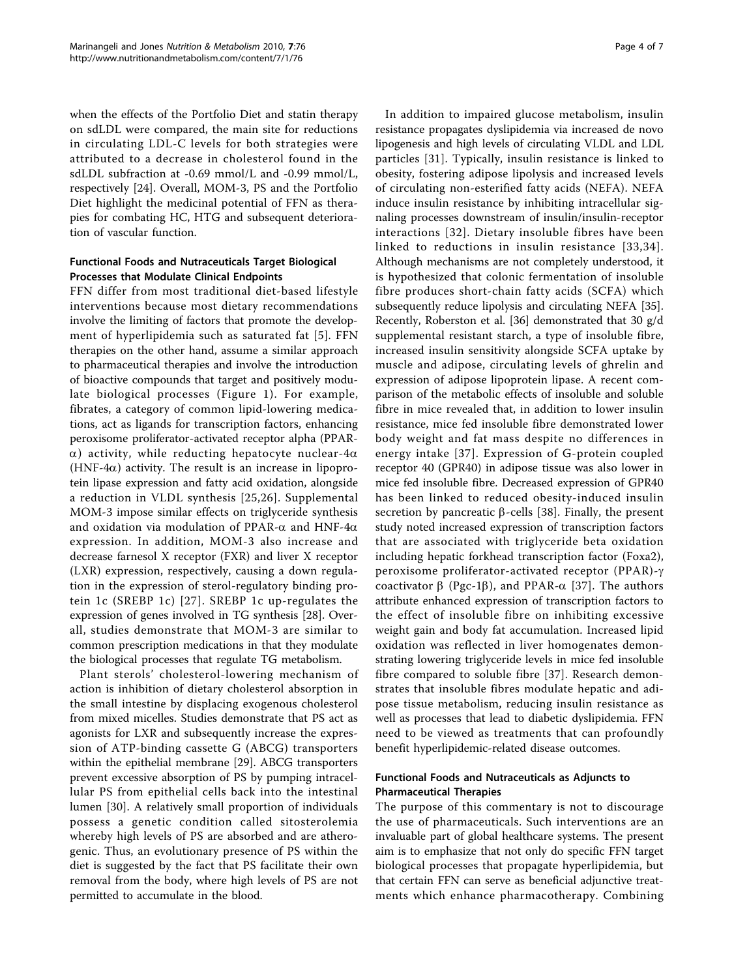when the effects of the Portfolio Diet and statin therapy on sdLDL were compared, the main site for reductions in circulating LDL-C levels for both strategies were attributed to a decrease in cholesterol found in the sdLDL subfraction at -0.69 mmol/L and -0.99 mmol/L, respectively [\[24](#page-5-0)]. Overall, MOM-3, PS and the Portfolio Diet highlight the medicinal potential of FFN as therapies for combating HC, HTG and subsequent deterioration of vascular function.

## Functional Foods and Nutraceuticals Target Biological Processes that Modulate Clinical Endpoints

FFN differ from most traditional diet-based lifestyle interventions because most dietary recommendations involve the limiting of factors that promote the development of hyperlipidemia such as saturated fat [[5](#page-5-0)]. FFN therapies on the other hand, assume a similar approach to pharmaceutical therapies and involve the introduction of bioactive compounds that target and positively modulate biological processes (Figure [1\)](#page-1-0). For example, fibrates, a category of common lipid-lowering medications, act as ligands for transcription factors, enhancing peroxisome proliferator-activated receptor alpha (PPAR- $\alpha$ ) activity, while reducting hepatocyte nuclear-4 $\alpha$ (HNF-4 $\alpha$ ) activity. The result is an increase in lipoprotein lipase expression and fatty acid oxidation, alongside a reduction in VLDL synthesis [[25](#page-5-0),[26\]](#page-5-0). Supplemental MOM-3 impose similar effects on triglyceride synthesis and oxidation via modulation of PPAR- $\alpha$  and HNF-4 $\alpha$ expression. In addition, MOM-3 also increase and decrease farnesol X receptor (FXR) and liver X receptor (LXR) expression, respectively, causing a down regulation in the expression of sterol-regulatory binding protein 1c (SREBP 1c) [[27](#page-5-0)]. SREBP 1c up-regulates the expression of genes involved in TG synthesis [\[28](#page-5-0)]. Overall, studies demonstrate that MOM-3 are similar to common prescription medications in that they modulate the biological processes that regulate TG metabolism.

Plant sterols' cholesterol-lowering mechanism of action is inhibition of dietary cholesterol absorption in the small intestine by displacing exogenous cholesterol from mixed micelles. Studies demonstrate that PS act as agonists for LXR and subsequently increase the expression of ATP-binding cassette G (ABCG) transporters within the epithelial membrane [[29\]](#page-5-0). ABCG transporters prevent excessive absorption of PS by pumping intracellular PS from epithelial cells back into the intestinal lumen [[30\]](#page-5-0). A relatively small proportion of individuals possess a genetic condition called sitosterolemia whereby high levels of PS are absorbed and are atherogenic. Thus, an evolutionary presence of PS within the diet is suggested by the fact that PS facilitate their own removal from the body, where high levels of PS are not permitted to accumulate in the blood.

In addition to impaired glucose metabolism, insulin resistance propagates dyslipidemia via increased de novo lipogenesis and high levels of circulating VLDL and LDL particles [[31\]](#page-5-0). Typically, insulin resistance is linked to obesity, fostering adipose lipolysis and increased levels of circulating non-esterified fatty acids (NEFA). NEFA induce insulin resistance by inhibiting intracellular signaling processes downstream of insulin/insulin-receptor interactions [[32](#page-5-0)]. Dietary insoluble fibres have been linked to reductions in insulin resistance [[33](#page-5-0),[34\]](#page-5-0). Although mechanisms are not completely understood, it is hypothesized that colonic fermentation of insoluble fibre produces short-chain fatty acids (SCFA) which subsequently reduce lipolysis and circulating NEFA [\[35](#page-5-0)]. Recently, Roberston et al. [[36\]](#page-5-0) demonstrated that 30 g/d supplemental resistant starch, a type of insoluble fibre, increased insulin sensitivity alongside SCFA uptake by muscle and adipose, circulating levels of ghrelin and expression of adipose lipoprotein lipase. A recent comparison of the metabolic effects of insoluble and soluble fibre in mice revealed that, in addition to lower insulin resistance, mice fed insoluble fibre demonstrated lower body weight and fat mass despite no differences in energy intake [[37\]](#page-5-0). Expression of G-protein coupled receptor 40 (GPR40) in adipose tissue was also lower in mice fed insoluble fibre. Decreased expression of GPR40 has been linked to reduced obesity-induced insulin secretion by pancreatic  $\beta$ -cells [\[38](#page-5-0)]. Finally, the present study noted increased expression of transcription factors that are associated with triglyceride beta oxidation including hepatic forkhead transcription factor (Foxa2), peroxisome proliferator-activated receptor (PPAR)-g coactivator  $\beta$  (Pgc-1 $\beta$ ), and PPAR- $\alpha$  [[37](#page-5-0)]. The authors attribute enhanced expression of transcription factors to the effect of insoluble fibre on inhibiting excessive weight gain and body fat accumulation. Increased lipid oxidation was reflected in liver homogenates demonstrating lowering triglyceride levels in mice fed insoluble fibre compared to soluble fibre [[37](#page-5-0)]. Research demonstrates that insoluble fibres modulate hepatic and adipose tissue metabolism, reducing insulin resistance as well as processes that lead to diabetic dyslipidemia. FFN need to be viewed as treatments that can profoundly benefit hyperlipidemic-related disease outcomes.

## Functional Foods and Nutraceuticals as Adjuncts to Pharmaceutical Therapies

The purpose of this commentary is not to discourage the use of pharmaceuticals. Such interventions are an invaluable part of global healthcare systems. The present aim is to emphasize that not only do specific FFN target biological processes that propagate hyperlipidemia, but that certain FFN can serve as beneficial adjunctive treatments which enhance pharmacotherapy. Combining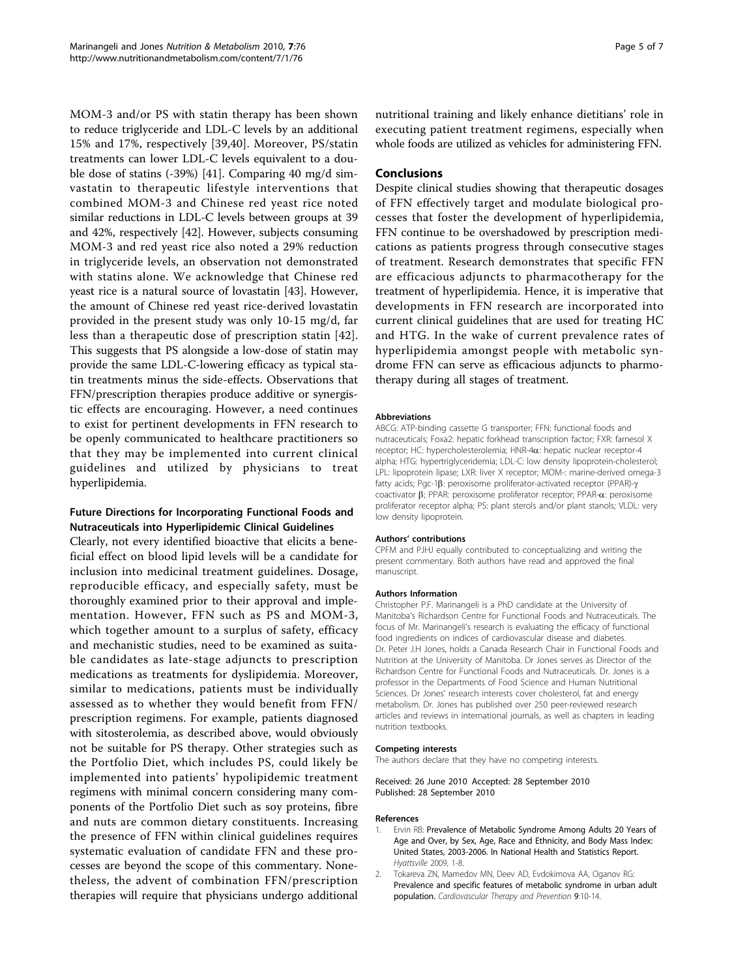<span id="page-4-0"></span>MOM-3 and/or PS with statin therapy has been shown to reduce triglyceride and LDL-C levels by an additional 15% and 17%, respectively [[39,](#page-5-0)[40](#page-6-0)]. Moreover, PS/statin treatments can lower LDL-C levels equivalent to a double dose of statins (-39%) [\[41](#page-6-0)]. Comparing 40 mg/d simvastatin to therapeutic lifestyle interventions that combined MOM-3 and Chinese red yeast rice noted similar reductions in LDL-C levels between groups at 39 and 42%, respectively [\[42](#page-6-0)]. However, subjects consuming MOM-3 and red yeast rice also noted a 29% reduction in triglyceride levels, an observation not demonstrated with statins alone. We acknowledge that Chinese red yeast rice is a natural source of lovastatin [[43\]](#page-6-0). However, the amount of Chinese red yeast rice-derived lovastatin provided in the present study was only 10-15 mg/d, far less than a therapeutic dose of prescription statin [[42](#page-6-0)]. This suggests that PS alongside a low-dose of statin may provide the same LDL-C-lowering efficacy as typical statin treatments minus the side-effects. Observations that FFN/prescription therapies produce additive or synergistic effects are encouraging. However, a need continues to exist for pertinent developments in FFN research to be openly communicated to healthcare practitioners so that they may be implemented into current clinical guidelines and utilized by physicians to treat hyperlipidemia.

## Future Directions for Incorporating Functional Foods and Nutraceuticals into Hyperlipidemic Clinical Guidelines

Clearly, not every identified bioactive that elicits a beneficial effect on blood lipid levels will be a candidate for inclusion into medicinal treatment guidelines. Dosage, reproducible efficacy, and especially safety, must be thoroughly examined prior to their approval and implementation. However, FFN such as PS and MOM-3, which together amount to a surplus of safety, efficacy and mechanistic studies, need to be examined as suitable candidates as late-stage adjuncts to prescription medications as treatments for dyslipidemia. Moreover, similar to medications, patients must be individually assessed as to whether they would benefit from FFN/ prescription regimens. For example, patients diagnosed with sitosterolemia, as described above, would obviously not be suitable for PS therapy. Other strategies such as the Portfolio Diet, which includes PS, could likely be implemented into patients' hypolipidemic treatment regimens with minimal concern considering many components of the Portfolio Diet such as soy proteins, fibre and nuts are common dietary constituents. Increasing the presence of FFN within clinical guidelines requires systematic evaluation of candidate FFN and these processes are beyond the scope of this commentary. Nonetheless, the advent of combination FFN/prescription therapies will require that physicians undergo additional nutritional training and likely enhance dietitians' role in executing patient treatment regimens, especially when whole foods are utilized as vehicles for administering FFN.

#### Conclusions

Despite clinical studies showing that therapeutic dosages of FFN effectively target and modulate biological processes that foster the development of hyperlipidemia, FFN continue to be overshadowed by prescription medications as patients progress through consecutive stages of treatment. Research demonstrates that specific FFN are efficacious adjuncts to pharmacotherapy for the treatment of hyperlipidemia. Hence, it is imperative that developments in FFN research are incorporated into current clinical guidelines that are used for treating HC and HTG. In the wake of current prevalence rates of hyperlipidemia amongst people with metabolic syndrome FFN can serve as efficacious adjuncts to pharmotherapy during all stages of treatment.

#### Abbreviations

ABCG: ATP-binding cassette G transporter; FFN: functional foods and nutraceuticals; Foxa2: hepatic forkhead transcription factor; FXR: farnesol X receptor; HC: hypercholesterolemia; HNR-4a: hepatic nuclear receptor-4 alpha; HTG: hypertriglyceridemia; LDL-C: low density lipoprotein-cholesterol; LPL: lipoprotein lipase; LXR: liver X receptor; MOM-: marine-derived omega-3 fatty acids; Pgc-1B: peroxisome proliferator-activated receptor (PPAR)- $\gamma$ coactivator b; PPAR: peroxisome proliferator receptor; PPAR-a: peroxisome proliferator receptor alpha; PS: plant sterols and/or plant stanols; VLDL: very low density lipoprotein.

#### Authors' contributions

CPFM and PJHJ equally contributed to conceptualizing and writing the present commentary. Both authors have read and approved the final manuscript.

#### Authors Information

Christopher P.F. Marinangeli is a PhD candidate at the University of Manitoba's Richardson Centre for Functional Foods and Nutraceuticals. The focus of Mr. Marinangeli's research is evaluating the efficacy of functional food ingredients on indices of cardiovascular disease and diabetes. Dr. Peter J.H Jones, holds a Canada Research Chair in Functional Foods and Nutrition at the University of Manitoba. Dr Jones serves as Director of the Richardson Centre for Functional Foods and Nutraceuticals. Dr. Jones is a professor in the Departments of Food Science and Human Nutritional Sciences. Dr Jones' research interests cover cholesterol, fat and energy metabolism. Dr. Jones has published over 250 peer-reviewed research articles and reviews in international journals, as well as chapters in leading nutrition textbooks.

#### Competing interests

The authors declare that they have no competing interests.

Received: 26 June 2010 Accepted: 28 September 2010 Published: 28 September 2010

#### References

- Ervin RB: Prevalence of Metabolic Syndrome Among Adults 20 Years of Age and Over, by Sex, Age, Race and Ethnicity, and Body Mass Index: United States, 2003-2006. In National Health and Statistics Report. Hyattsville 2009, 1-8.
- 2. Tokareva ZN, Mamedov MN, Deev AD, Evdokimova AA, Oganov RG: Prevalence and specific features of metabolic syndrome in urban adult population. Cardiovascular Therapy and Prevention 9:10-14.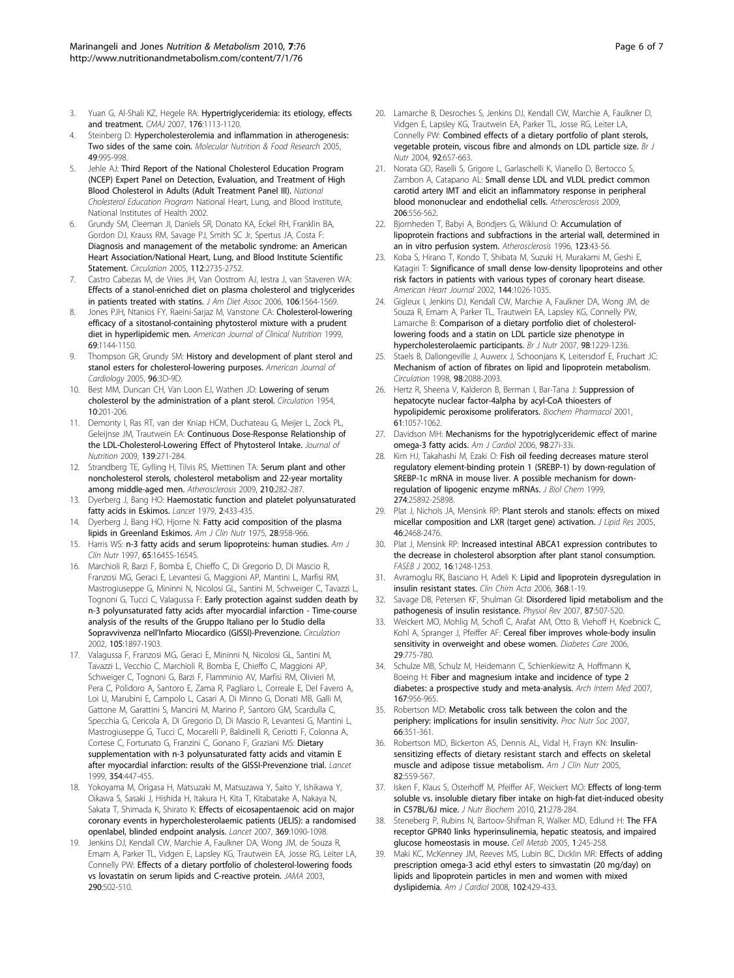- <span id="page-5-0"></span>3. Yuan G, Al-Shali KZ, Hegele RA: [Hypertriglyceridemia: its etiology, effects](http://www.ncbi.nlm.nih.gov/pubmed/17420495?dopt=Abstract) [and treatment.](http://www.ncbi.nlm.nih.gov/pubmed/17420495?dopt=Abstract) CMAJ 2007, 176:1113-1120.
- 4. Steinberg D: Hypercholesterolemia and inflammation in atherogenesis: Two sides of the same coin. Molecular Nutrition & Food Research 2005, 49:995-998.
- Jehle AJ: Third Report of the National Cholesterol Education Program (NCEP) Expert Panel on Detection, Evaluation, and Treatment of High Blood Cholesterol in Adults (Adult Treatment Panel III). National Cholesterol Education Program National Heart, Lung, and Blood Institute, National Institutes of Health 2002.
- 6. Grundy SM, Cleeman JI, Daniels SR, Donato KA, Eckel RH, Franklin BA, Gordon DJ, Krauss RM, Savage PJ, Smith SC Jr, Spertus JA, Costa F: [Diagnosis and management of the metabolic syndrome: an American](http://www.ncbi.nlm.nih.gov/pubmed/16157765?dopt=Abstract) [Heart Association/National Heart, Lung, and Blood Institute Scientific](http://www.ncbi.nlm.nih.gov/pubmed/16157765?dopt=Abstract) [Statement.](http://www.ncbi.nlm.nih.gov/pubmed/16157765?dopt=Abstract) Circulation 2005, 112:2735-2752.
- 7. Castro Cabezas M, de Vries JH, Van Oostrom AJ, Iestra J, van Staveren WA: [Effects of a stanol-enriched diet on plasma cholesterol and triglycerides](http://www.ncbi.nlm.nih.gov/pubmed/17000189?dopt=Abstract) [in patients treated with statins.](http://www.ncbi.nlm.nih.gov/pubmed/17000189?dopt=Abstract) J Am Diet Assoc 2006, 106:1564-1569.
- Jones PJH, Ntanios FY, Raeini-Sarjaz M, Vanstone CA: [Cholesterol-lowering](http://www.ncbi.nlm.nih.gov/pubmed/10357732?dopt=Abstract) [efficacy of a sitostanol-containing phytosterol mixture with a prudent](http://www.ncbi.nlm.nih.gov/pubmed/10357732?dopt=Abstract) [diet in hyperlipidemic men.](http://www.ncbi.nlm.nih.gov/pubmed/10357732?dopt=Abstract) American Journal of Clinical Nutrition 1999, 69:1144-1150.
- 9. Thompson GR. Grundy SM: [History and development of plant sterol and](http://www.ncbi.nlm.nih.gov/pubmed/15992509?dopt=Abstract) [stanol esters for cholesterol-lowering purposes.](http://www.ncbi.nlm.nih.gov/pubmed/15992509?dopt=Abstract) American Journal of Cardiology 2005, 96:3D-9D.
- 10. Best MM, Duncan CH, Van Loon EJ, Wathen JD: [Lowering of serum](http://www.ncbi.nlm.nih.gov/pubmed/13182752?dopt=Abstract) [cholesterol by the administration of a plant sterol.](http://www.ncbi.nlm.nih.gov/pubmed/13182752?dopt=Abstract) Circulation 1954, 10:201-206.
- 11. Demonty I, Ras RT, van der Kniap HCM, Duchateau G, Meijer L, Zock PL, Geleijnse JM, Trautwein EA: [Continuous Dose-Response Relationship of](http://www.ncbi.nlm.nih.gov/pubmed/19091798?dopt=Abstract) [the LDL-Cholesterol-Lowering Effect of Phytosterol Intake.](http://www.ncbi.nlm.nih.gov/pubmed/19091798?dopt=Abstract) Journal of Nutrition 2009, 139:271-284.
- 12. Strandberg TE, Gylling H, Tilvis RS, Miettinen TA: [Serum plant and other](http://www.ncbi.nlm.nih.gov/pubmed/19962145?dopt=Abstract) [noncholesterol sterols, cholesterol metabolism and 22-year mortality](http://www.ncbi.nlm.nih.gov/pubmed/19962145?dopt=Abstract) [among middle-aged men.](http://www.ncbi.nlm.nih.gov/pubmed/19962145?dopt=Abstract) Atherosclerosis 2009, 210:282-287.
- 13. Dyerberg J, Bang HO: [Haemostatic function and platelet polyunsaturated](http://www.ncbi.nlm.nih.gov/pubmed/89498?dopt=Abstract) [fatty acids in Eskimos.](http://www.ncbi.nlm.nih.gov/pubmed/89498?dopt=Abstract) Lancet 1979, 2:433-435.
- 14. Dyerberg J, Bang HO, Hjorne N: [Fatty acid composition of the plasma](http://www.ncbi.nlm.nih.gov/pubmed/1163480?dopt=Abstract) [lipids in Greenland Eskimos.](http://www.ncbi.nlm.nih.gov/pubmed/1163480?dopt=Abstract) Am J Clin Nutr 1975, 28:958-966.
- 15. Harris WS: [n-3 fatty acids and serum lipoproteins: human studies.](http://www.ncbi.nlm.nih.gov/pubmed/9129504?dopt=Abstract) Am J Clin Nutr 1997, 65:1645S-1654S.
- 16. Marchioli R, Barzi F, Bomba E, Chieffo C, Di Gregorio D, Di Mascio R, Franzosi MG, Geraci E, Levantesi G, Maggioni AP, Mantini L, Marfisi RM, Mastrogiuseppe G, Mininni N, Nicolosi GL, Santini M, Schweiger C, Tavazzi L, Tognoni G, Tucci C, Valagussa F: [Early protection against sudden death by](http://www.ncbi.nlm.nih.gov/pubmed/11997274?dopt=Abstract) [n-3 polyunsaturated fatty acids after myocardial infarction - Time-course](http://www.ncbi.nlm.nih.gov/pubmed/11997274?dopt=Abstract) [analysis of the results of the Gruppo Italiano per lo Studio della](http://www.ncbi.nlm.nih.gov/pubmed/11997274?dopt=Abstract) Sopravvivenza nell'[Infarto Miocardico \(GISSI\)-Prevenzione.](http://www.ncbi.nlm.nih.gov/pubmed/11997274?dopt=Abstract) Circulation 2002, 105:1897-1903.
- 17. Valagussa F, Franzosi MG, Geraci E, Mininni N, Nicolosi GL, Santini M, Tavazzi L, Vecchio C, Marchioli R, Bomba E, Chieffo C, Maggioni AP, Schweiger C, Tognoni G, Barzi F, Flamminio AV, Marfisi RM, Olivieri M, Pera C, Polidoro A, Santoro E, Zama R, Pagliaro L, Correale E, Del Favero A, Loi U, Marubini E, Campolo L, Casari A, Di Minno G, Donati MB, Galli M, Gattone M, Garattini S, Mancini M, Marino P, Santoro GM, Scardulla C, Specchia G, Cericola A, Di Gregorio D, Di Mascio R, Levantesi G, Mantini L, Mastrogiuseppe G, Tucci C, Mocarelli P, Baldinelli R, Ceriotti F, Colonna A, Cortese C, Fortunato G, Franzini C, Gonano F, Graziani MS: [Dietary](http://www.ncbi.nlm.nih.gov/pubmed/10465168?dopt=Abstract) [supplementation with n-3 polyunsaturated fatty acids and vitamin E](http://www.ncbi.nlm.nih.gov/pubmed/10465168?dopt=Abstract) [after myocardial infarction: results of the GISSI-Prevenzione trial.](http://www.ncbi.nlm.nih.gov/pubmed/10465168?dopt=Abstract) Lancet 1999, 354:447-455.
- 18. Yokoyama M, Origasa H, Matsuzaki M, Matsuzawa Y, Saito Y, Ishikawa Y, Oikawa S, Sasaki J, Hishida H, Itakura H, Kita T, Kitabatake A, Nakaya N, Sakata T, Shimada K, Shirato K: [Effects of eicosapentaenoic acid on major](http://www.ncbi.nlm.nih.gov/pubmed/17398308?dopt=Abstract) [coronary events in hypercholesterolaemic patients \(JELIS\): a randomised](http://www.ncbi.nlm.nih.gov/pubmed/17398308?dopt=Abstract) [openlabel, blinded endpoint analysis.](http://www.ncbi.nlm.nih.gov/pubmed/17398308?dopt=Abstract) Lancet 2007, 369:1090-1098.
- 19. Jenkins DJ, Kendall CW, Marchie A, Faulkner DA, Wong JM, de Souza R, Emam A, Parker TL, Vidgen E, Lapsley KG, Trautwein EA, Josse RG, Leiter LA, Connelly PW: [Effects of a dietary portfolio of cholesterol-lowering foods](http://www.ncbi.nlm.nih.gov/pubmed/12876093?dopt=Abstract) [vs lovastatin on serum lipids and C-reactive protein.](http://www.ncbi.nlm.nih.gov/pubmed/12876093?dopt=Abstract) JAMA 2003, 290:502-510.
- 20. Lamarche B, Desroches S, Jenkins DJ, Kendall CW, Marchie A, Faulkner D, Vidgen E, Lapsley KG, Trautwein EA, Parker TL, Josse RG, Leiter LA, Connelly PW: [Combined effects of a dietary portfolio of plant sterols,](http://www.ncbi.nlm.nih.gov/pubmed/15522135?dopt=Abstract) [vegetable protein, viscous fibre and almonds on LDL particle size.](http://www.ncbi.nlm.nih.gov/pubmed/15522135?dopt=Abstract) Br J Nutr 2004, 92:657-663.
- 21. Norata GD, Raselli S, Grigore L, Garlaschelli K, Vianello D, Bertocco S, Zambon A, Catapano AL: [Small dense LDL and VLDL predict common](http://www.ncbi.nlm.nih.gov/pubmed/19376517?dopt=Abstract) [carotid artery IMT and elicit an inflammatory response in peripheral](http://www.ncbi.nlm.nih.gov/pubmed/19376517?dopt=Abstract) [blood mononuclear and endothelial cells.](http://www.ncbi.nlm.nih.gov/pubmed/19376517?dopt=Abstract) Atherosclerosis 2009, 206:556-562.
- 22. Bjornheden T, Babyi A, Bondjers G, Wiklund O: [Accumulation of](http://www.ncbi.nlm.nih.gov/pubmed/8782836?dopt=Abstract) [lipoprotein fractions and subfractions in the arterial wall, determined in](http://www.ncbi.nlm.nih.gov/pubmed/8782836?dopt=Abstract) [an in vitro perfusion system.](http://www.ncbi.nlm.nih.gov/pubmed/8782836?dopt=Abstract) Atherosclerosis 1996, 123:43-56.
- 23. Koba S, Hirano T, Kondo T, Shibata M, Suzuki H, Murakami M, Geshi E, Katagiri T: [Significance of small dense low-density lipoproteins and other](http://www.ncbi.nlm.nih.gov/pubmed/12486427?dopt=Abstract) [risk factors in patients with various types of coronary heart disease.](http://www.ncbi.nlm.nih.gov/pubmed/12486427?dopt=Abstract) American Heart Journal 2002, 144:1026-1035.
- 24. Gigleux I, Jenkins DJ, Kendall CW, Marchie A, Faulkner DA, Wong JM, de Souza R, Emam A, Parker TL, Trautwein EA, Lapsley KG, Connelly PW, Lamarche B: [Comparison of a dietary portfolio diet of cholesterol](http://www.ncbi.nlm.nih.gov/pubmed/17663803?dopt=Abstract)[lowering foods and a statin on LDL particle size phenotype in](http://www.ncbi.nlm.nih.gov/pubmed/17663803?dopt=Abstract) [hypercholesterolaemic participants.](http://www.ncbi.nlm.nih.gov/pubmed/17663803?dopt=Abstract) Br J Nutr 2007, 98:1229-1236.
- 25. Staels B, Dallongeville J, Auwerx J, Schoonjans K, Leitersdorf E, Fruchart JC: [Mechanism of action of fibrates on lipid and lipoprotein metabolism.](http://www.ncbi.nlm.nih.gov/pubmed/9808609?dopt=Abstract) Circulation 1998, 98:2088-2093.
- 26. Hertz R, Sheena V, Kalderon B, Berman I, Bar-Tana J: [Suppression of](http://www.ncbi.nlm.nih.gov/pubmed/11301038?dopt=Abstract) [hepatocyte nuclear factor-4alpha by acyl-CoA thioesters of](http://www.ncbi.nlm.nih.gov/pubmed/11301038?dopt=Abstract) [hypolipidemic peroxisome proliferators.](http://www.ncbi.nlm.nih.gov/pubmed/11301038?dopt=Abstract) Biochem Pharmacol 2001, 61:1057-1062.
- 27. Davidson MH: [Mechanisms for the hypotriglyceridemic effect of marine](http://www.ncbi.nlm.nih.gov/pubmed/16919514?dopt=Abstract) [omega-3 fatty acids.](http://www.ncbi.nlm.nih.gov/pubmed/16919514?dopt=Abstract) Am J Cardiol 2006, 98:27i-33i.
- 28. Kim HJ, Takahashi M, Ezaki O: [Fish oil feeding decreases mature sterol](http://www.ncbi.nlm.nih.gov/pubmed/10464332?dopt=Abstract) [regulatory element-binding protein 1 \(SREBP-1\) by down-regulation of](http://www.ncbi.nlm.nih.gov/pubmed/10464332?dopt=Abstract) [SREBP-1c mRNA in mouse liver. A possible mechanism for down](http://www.ncbi.nlm.nih.gov/pubmed/10464332?dopt=Abstract)[regulation of lipogenic enzyme mRNAs.](http://www.ncbi.nlm.nih.gov/pubmed/10464332?dopt=Abstract) J Biol Chem 1999, 274:25892-25898.
- 29. Plat J, Nichols JA, Mensink RP: [Plant sterols and stanols: effects on mixed](http://www.ncbi.nlm.nih.gov/pubmed/16150823?dopt=Abstract) [micellar composition and LXR \(target gene\) activation.](http://www.ncbi.nlm.nih.gov/pubmed/16150823?dopt=Abstract) J Lipid Res 2005, 46:2468-2476.
- 30. Plat J, Mensink RP: [Increased intestinal ABCA1 expression contributes to](http://www.ncbi.nlm.nih.gov/pubmed/12153993?dopt=Abstract) [the decrease in cholesterol absorption after plant stanol consumption.](http://www.ncbi.nlm.nih.gov/pubmed/12153993?dopt=Abstract) FASEB J 2002, 16:1248-1253
- 31. Avramoglu RK, Basciano H, Adeli K: [Lipid and lipoprotein dysregulation in](http://www.ncbi.nlm.nih.gov/pubmed/16480697?dopt=Abstract) [insulin resistant states.](http://www.ncbi.nlm.nih.gov/pubmed/16480697?dopt=Abstract) Clin Chim Acta 2006, 368:1-19.
- 32. Savage DB, Petersen KF, Shulman GI: [Disordered lipid metabolism and the](http://www.ncbi.nlm.nih.gov/pubmed/17429039?dopt=Abstract) [pathogenesis of insulin resistance.](http://www.ncbi.nlm.nih.gov/pubmed/17429039?dopt=Abstract) Physiol Rev 2007, 87:507-520.
- 33. Weickert MO, Mohlig M, Schofl C, Arafat AM, Otto B, Viehoff H, Koebnick C, Kohl A, Spranger J, Pfeiffer AF: [Cereal fiber improves whole-body insulin](http://www.ncbi.nlm.nih.gov/pubmed/16567814?dopt=Abstract) [sensitivity in overweight and obese women.](http://www.ncbi.nlm.nih.gov/pubmed/16567814?dopt=Abstract) Diabetes Care 2006, 29:775-780.
- 34. Schulze MB, Schulz M, Heidemann C, Schienkiewitz A, Hoffmann K, Boeing H: [Fiber and magnesium intake and incidence of type 2](http://www.ncbi.nlm.nih.gov/pubmed/17502538?dopt=Abstract) [diabetes: a prospective study and meta-analysis.](http://www.ncbi.nlm.nih.gov/pubmed/17502538?dopt=Abstract) Arch Intern Med 2007, 167:956-965.
- 35. Robertson MD: [Metabolic cross talk between the colon and the](http://www.ncbi.nlm.nih.gov/pubmed/17637087?dopt=Abstract) [periphery: implications for insulin sensitivity.](http://www.ncbi.nlm.nih.gov/pubmed/17637087?dopt=Abstract) Proc Nutr Soc 2007, 66:351-361.
- 36. Robertson MD, Bickerton AS, Dennis AL, Vidal H, Frayn KN: [Insulin](http://www.ncbi.nlm.nih.gov/pubmed/16155268?dopt=Abstract)[sensitizing effects of dietary resistant starch and effects on skeletal](http://www.ncbi.nlm.nih.gov/pubmed/16155268?dopt=Abstract) [muscle and adipose tissue metabolism.](http://www.ncbi.nlm.nih.gov/pubmed/16155268?dopt=Abstract) Am J Clin Nutr 2005, 82:559-567.
- 37. Isken F, Klaus S, Osterhoff M, Pfeiffer AF, Weickert MO: [Effects of long-term](http://www.ncbi.nlm.nih.gov/pubmed/19369060?dopt=Abstract) [soluble vs. insoluble dietary fiber intake on high-fat diet-induced obesity](http://www.ncbi.nlm.nih.gov/pubmed/19369060?dopt=Abstract) [in C57BL/6J mice.](http://www.ncbi.nlm.nih.gov/pubmed/19369060?dopt=Abstract) J Nutr Biochem 2010, 21:278-284.
- 38. Steneberg P, Rubins N, Bartoov-Shifman R, Walker MD, Edlund H: [The FFA](http://www.ncbi.nlm.nih.gov/pubmed/16054069?dopt=Abstract) [receptor GPR40 links hyperinsulinemia, hepatic steatosis, and impaired](http://www.ncbi.nlm.nih.gov/pubmed/16054069?dopt=Abstract) [glucose homeostasis in mouse.](http://www.ncbi.nlm.nih.gov/pubmed/16054069?dopt=Abstract) Cell Metab 2005, 1:245-258.
- Maki KC, McKenney JM, Reeves MS, Lubin BC, Dicklin MR: [Effects of adding](http://www.ncbi.nlm.nih.gov/pubmed/18678300?dopt=Abstract) [prescription omega-3 acid ethyl esters to simvastatin \(20 mg/day\) on](http://www.ncbi.nlm.nih.gov/pubmed/18678300?dopt=Abstract) [lipids and lipoprotein particles in men and women with mixed](http://www.ncbi.nlm.nih.gov/pubmed/18678300?dopt=Abstract) [dyslipidemia.](http://www.ncbi.nlm.nih.gov/pubmed/18678300?dopt=Abstract) Am J Cardiol 2008, 102:429-433.